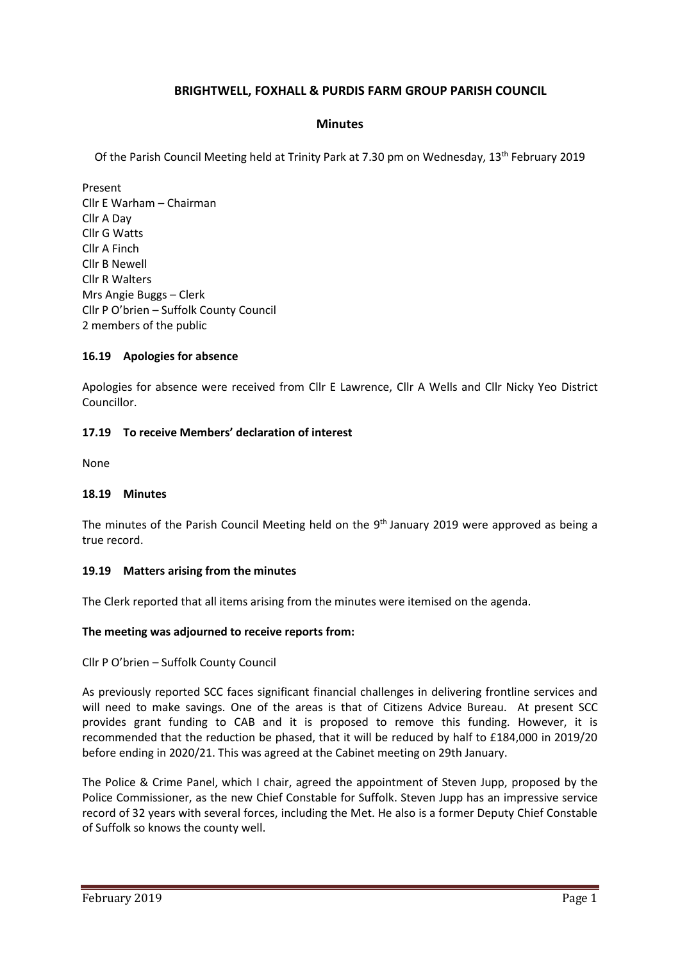# **BRIGHTWELL, FOXHALL & PURDIS FARM GROUP PARISH COUNCIL**

#### **Minutes**

Of the Parish Council Meeting held at Trinity Park at 7.30 pm on Wednesday, 13th February 2019

Present Cllr E Warham – Chairman Cllr A Day Cllr G Watts Cllr A Finch Cllr B Newell Cllr R Walters Mrs Angie Buggs – Clerk Cllr P O'brien – Suffolk County Council 2 members of the public

#### **16.19 Apologies for absence**

Apologies for absence were received from Cllr E Lawrence, Cllr A Wells and Cllr Nicky Yeo District Councillor.

#### **17.19 To receive Members' declaration of interest**

None

#### **18.19 Minutes**

The minutes of the Parish Council Meeting held on the 9<sup>th</sup> January 2019 were approved as being a true record.

#### **19.19 Matters arising from the minutes**

The Clerk reported that all items arising from the minutes were itemised on the agenda.

#### **The meeting was adjourned to receive reports from:**

Cllr P O'brien – Suffolk County Council

As previously reported SCC faces significant financial challenges in delivering frontline services and will need to make savings. One of the areas is that of Citizens Advice Bureau. At present SCC provides grant funding to CAB and it is proposed to remove this funding. However, it is recommended that the reduction be phased, that it will be reduced by half to £184,000 in 2019/20 before ending in 2020/21. This was agreed at the Cabinet meeting on 29th January.

The Police & Crime Panel, which I chair, agreed the appointment of Steven Jupp, proposed by the Police Commissioner, as the new Chief Constable for Suffolk. Steven Jupp has an impressive service record of 32 years with several forces, including the Met. He also is a former Deputy Chief Constable of Suffolk so knows the county well.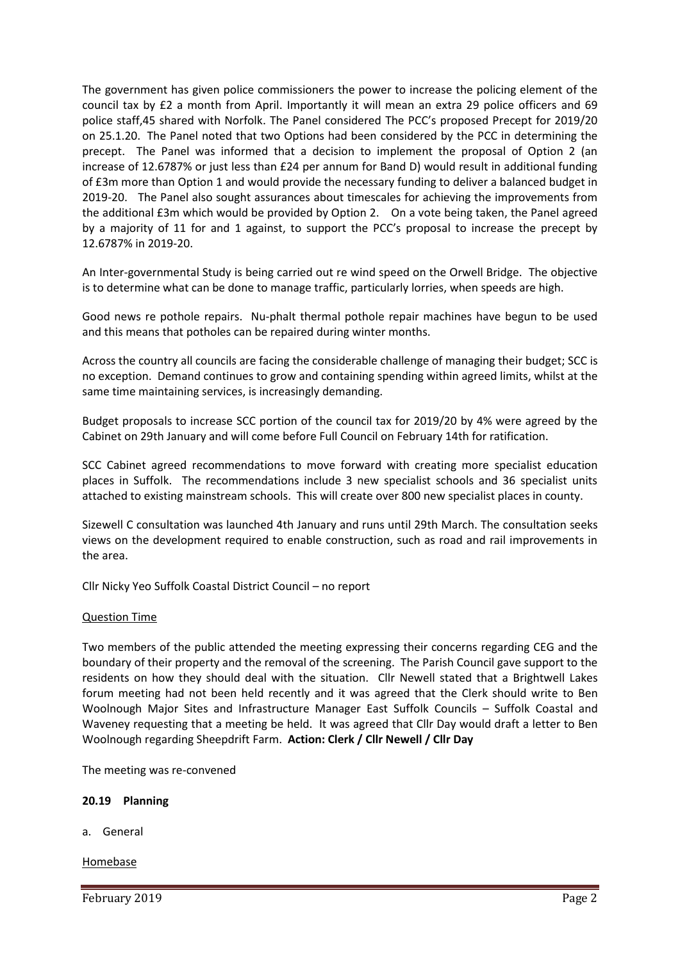The government has given police commissioners the power to increase the policing element of the council tax by £2 a month from April. Importantly it will mean an extra 29 police officers and 69 police staff,45 shared with Norfolk. The Panel considered The PCC's proposed Precept for 2019/20 on 25.1.20. The Panel noted that two Options had been considered by the PCC in determining the precept. The Panel was informed that a decision to implement the proposal of Option 2 (an increase of 12.6787% or just less than £24 per annum for Band D) would result in additional funding of £3m more than Option 1 and would provide the necessary funding to deliver a balanced budget in 2019-20. The Panel also sought assurances about timescales for achieving the improvements from the additional £3m which would be provided by Option 2. On a vote being taken, the Panel agreed by a majority of 11 for and 1 against, to support the PCC's proposal to increase the precept by 12.6787% in 2019-20.

An Inter-governmental Study is being carried out re wind speed on the Orwell Bridge. The objective is to determine what can be done to manage traffic, particularly lorries, when speeds are high.

Good news re pothole repairs. Nu-phalt thermal pothole repair machines have begun to be used and this means that potholes can be repaired during winter months.

Across the country all councils are facing the considerable challenge of managing their budget; SCC is no exception. Demand continues to grow and containing spending within agreed limits, whilst at the same time maintaining services, is increasingly demanding.

Budget proposals to increase SCC portion of the council tax for 2019/20 by 4% were agreed by the Cabinet on 29th January and will come before Full Council on February 14th for ratification.

SCC Cabinet agreed recommendations to move forward with creating more specialist education places in Suffolk. The recommendations include 3 new specialist schools and 36 specialist units attached to existing mainstream schools. This will create over 800 new specialist places in county.

Sizewell C consultation was launched 4th January and runs until 29th March. The consultation seeks views on the development required to enable construction, such as road and rail improvements in the area.

Cllr Nicky Yeo Suffolk Coastal District Council – no report

#### Question Time

Two members of the public attended the meeting expressing their concerns regarding CEG and the boundary of their property and the removal of the screening. The Parish Council gave support to the residents on how they should deal with the situation. Cllr Newell stated that a Brightwell Lakes forum meeting had not been held recently and it was agreed that the Clerk should write to Ben Woolnough Major Sites and Infrastructure Manager East Suffolk Councils – Suffolk Coastal and Waveney requesting that a meeting be held. It was agreed that Cllr Day would draft a letter to Ben Woolnough regarding Sheepdrift Farm. **Action: Clerk / Cllr Newell / Cllr Day**

The meeting was re-convened

#### **20.19 Planning**

a. General

#### Homebase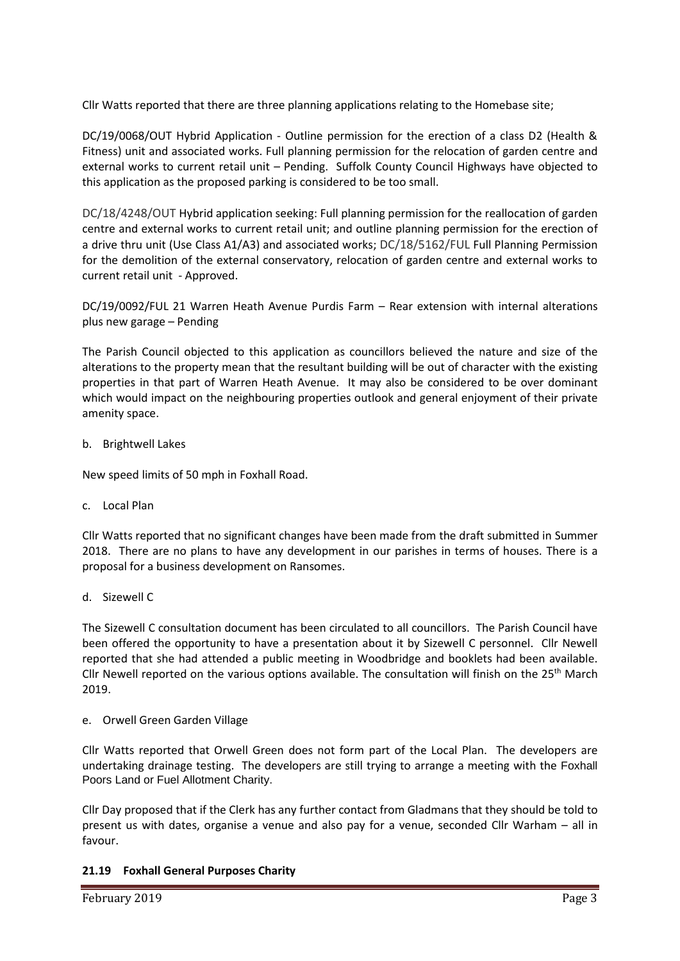Cllr Watts reported that there are three planning applications relating to the Homebase site;

DC/19/0068/OUT Hybrid Application - [Outline permission for the erection of a class D2 \(Health &](https://publicaccess.eastsuffolk.gov.uk/online-applications/applicationDetails.do?keyVal=PL0F6SQX0IH00&activeTab=summary)  Fitness) unit and associated works. Full [planning permission for the relocation of garden centre and](https://publicaccess.eastsuffolk.gov.uk/online-applications/applicationDetails.do?keyVal=PL0F6SQX0IH00&activeTab=summary)  [external works to current retail unit](https://publicaccess.eastsuffolk.gov.uk/online-applications/applicationDetails.do?keyVal=PL0F6SQX0IH00&activeTab=summary) – Pending. Suffolk County Council Highways have objected to this application as the proposed parking is considered to be too small.

DC/18/4248/OUT [Hybrid application seeking: Full planning permission for the reallocation of garden](https://publicaccess.eastsuffolk.gov.uk/online-applications/applicationDetails.do?keyVal=PGHRAOQX0IO00&activeTab=summary)  centre [and external works to current retail unit; and outline planning permission for the erection of](https://publicaccess.eastsuffolk.gov.uk/online-applications/applicationDetails.do?keyVal=PGHRAOQX0IO00&activeTab=summary)  [a drive thru unit \(Use Class A1/A3\) and associated works;](https://publicaccess.eastsuffolk.gov.uk/online-applications/applicationDetails.do?keyVal=PGHRAOQX0IO00&activeTab=summary) DC/18/5162/FUL [Full Planning Permission](https://publicaccess.eastsuffolk.gov.uk/online-applications/applicationDetails.do?keyVal=PGHRAOQX0IO00&activeTab=summary)  [for the demolition of the external conservatory, relocation of garden centre and external works to](https://publicaccess.eastsuffolk.gov.uk/online-applications/applicationDetails.do?keyVal=PGHRAOQX0IO00&activeTab=summary)  [current retail unit](https://publicaccess.eastsuffolk.gov.uk/online-applications/applicationDetails.do?keyVal=PJVLUHQX0H800&activeTab=summary) - Approved.

DC/19/0092/FUL 21 Warren Heath Avenue Purdis Farm – Rear extension with internal alterations plus new garage – Pending

The Parish Council objected to this application as councillors believed the nature and size of the alterations to the property mean that the resultant building will be out of character with the existing properties in that part of Warren Heath Avenue. It may also be considered to be over dominant which would impact on the neighbouring properties outlook and general enjoyment of their private amenity space.

#### b. Brightwell Lakes

New speed limits of 50 mph in Foxhall Road.

c. Local Plan

Cllr Watts reported that no significant changes have been made from the draft submitted in Summer 2018. There are no plans to have any development in our parishes in terms of houses. There is a proposal for a business development on Ransomes.

d. Sizewell C

The Sizewell C consultation document has been circulated to all councillors. The Parish Council have been offered the opportunity to have a presentation about it by Sizewell C personnel. Cllr Newell reported that she had attended a public meeting in Woodbridge and booklets had been available. Cllr Newell reported on the various options available. The consultation will finish on the  $25<sup>th</sup>$  March 2019.

e. Orwell Green Garden Village

Cllr Watts reported that Orwell Green does not form part of the Local Plan. The developers are undertaking drainage testing. The developers are still trying to arrange a meeting with the Foxhall Poors Land or Fuel Allotment Charity.

Cllr Day proposed that if the Clerk has any further contact from Gladmans that they should be told to present us with dates, organise a venue and also pay for a venue, seconded Cllr Warham – all in favour.

## **21.19 Foxhall General Purposes Charity**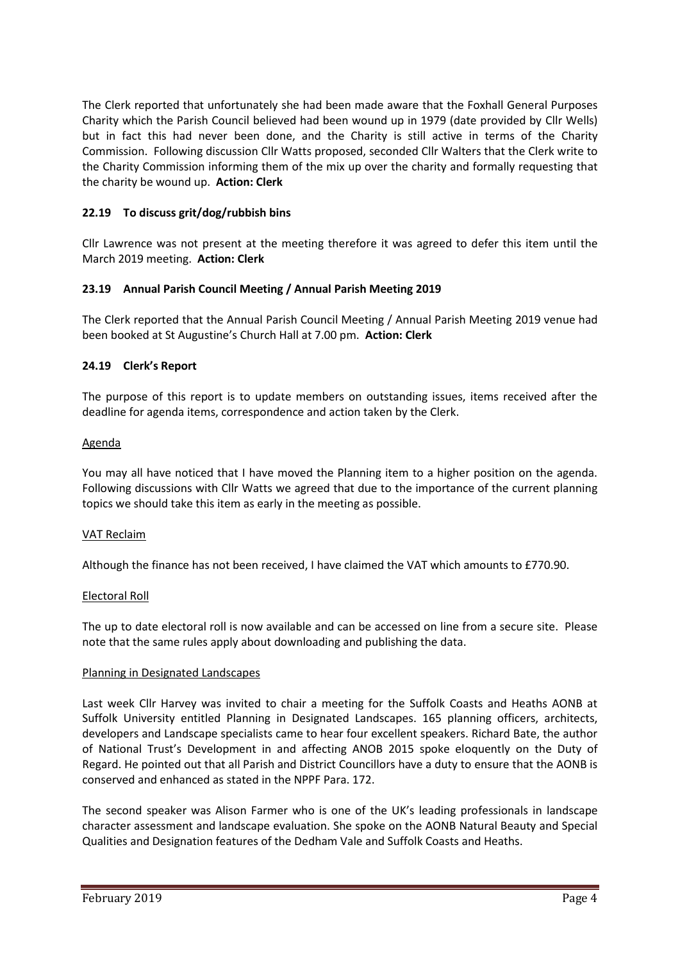The Clerk reported that unfortunately she had been made aware that the Foxhall General Purposes Charity which the Parish Council believed had been wound up in 1979 (date provided by Cllr Wells) but in fact this had never been done, and the Charity is still active in terms of the Charity Commission. Following discussion Cllr Watts proposed, seconded Cllr Walters that the Clerk write to the Charity Commission informing them of the mix up over the charity and formally requesting that the charity be wound up. **Action: Clerk**

## **22.19 To discuss grit/dog/rubbish bins**

Cllr Lawrence was not present at the meeting therefore it was agreed to defer this item until the March 2019 meeting. **Action: Clerk**

## **23.19 Annual Parish Council Meeting / Annual Parish Meeting 2019**

The Clerk reported that the Annual Parish Council Meeting / Annual Parish Meeting 2019 venue had been booked at St Augustine's Church Hall at 7.00 pm. **Action: Clerk**

## **24.19 Clerk's Report**

The purpose of this report is to update members on outstanding issues, items received after the deadline for agenda items, correspondence and action taken by the Clerk.

## Agenda

You may all have noticed that I have moved the Planning item to a higher position on the agenda. Following discussions with Cllr Watts we agreed that due to the importance of the current planning topics we should take this item as early in the meeting as possible.

## VAT Reclaim

Although the finance has not been received, I have claimed the VAT which amounts to £770.90.

## Electoral Roll

The up to date electoral roll is now available and can be accessed on line from a secure site. Please note that the same rules apply about downloading and publishing the data.

## Planning in Designated Landscapes

Last week Cllr Harvey was invited to chair a meeting for the Suffolk Coasts and Heaths AONB at Suffolk University entitled Planning in Designated Landscapes. 165 planning officers, architects, developers and Landscape specialists came to hear four excellent speakers. Richard Bate, the author of National Trust's Development in and affecting ANOB 2015 spoke eloquently on the Duty of Regard. He pointed out that all Parish and District Councillors have a duty to ensure that the AONB is conserved and enhanced as stated in the NPPF Para. 172.

The second speaker was Alison Farmer who is one of the UK's leading professionals in landscape character assessment and landscape evaluation. She spoke on the AONB Natural Beauty and Special Qualities and Designation features of the Dedham Vale and Suffolk Coasts and Heaths.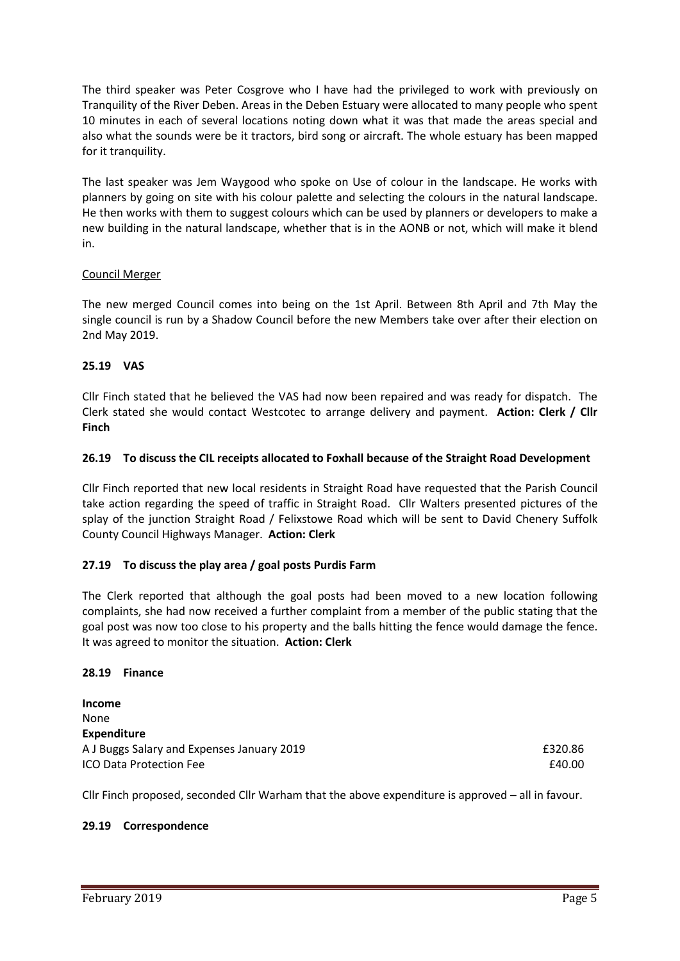The third speaker was Peter Cosgrove who I have had the privileged to work with previously on Tranquility of the River Deben. Areas in the Deben Estuary were allocated to many people who spent 10 minutes in each of several locations noting down what it was that made the areas special and also what the sounds were be it tractors, bird song or aircraft. The whole estuary has been mapped for it tranquility.

The last speaker was Jem Waygood who spoke on Use of colour in the landscape. He works with planners by going on site with his colour palette and selecting the colours in the natural landscape. He then works with them to suggest colours which can be used by planners or developers to make a new building in the natural landscape, whether that is in the AONB or not, which will make it blend in.

## Council Merger

The new merged Council comes into being on the 1st April. Between 8th April and 7th May the single council is run by a Shadow Council before the new Members take over after their election on 2nd May 2019.

#### **25.19 VAS**

Cllr Finch stated that he believed the VAS had now been repaired and was ready for dispatch. The Clerk stated she would contact Westcotec to arrange delivery and payment. **Action: Clerk / Cllr Finch**

#### **26.19 To discuss the CIL receipts allocated to Foxhall because of the Straight Road Development**

Cllr Finch reported that new local residents in Straight Road have requested that the Parish Council take action regarding the speed of traffic in Straight Road. Cllr Walters presented pictures of the splay of the junction Straight Road / Felixstowe Road which will be sent to David Chenery Suffolk County Council Highways Manager. **Action: Clerk**

## **27.19 To discuss the play area / goal posts Purdis Farm**

The Clerk reported that although the goal posts had been moved to a new location following complaints, she had now received a further complaint from a member of the public stating that the goal post was now too close to his property and the balls hitting the fence would damage the fence. It was agreed to monitor the situation. **Action: Clerk**

#### **28.19 Finance**

**Income** None **Expenditure** A J Buggs Salary and Expenses January 2019 **EXPENSION CONSTRUSTER SALARY EXPIDENT** E320.86 **ICO Data Protection Fee E40.00 E40.00** 

Cllr Finch proposed, seconded Cllr Warham that the above expenditure is approved – all in favour.

#### **29.19 Correspondence**